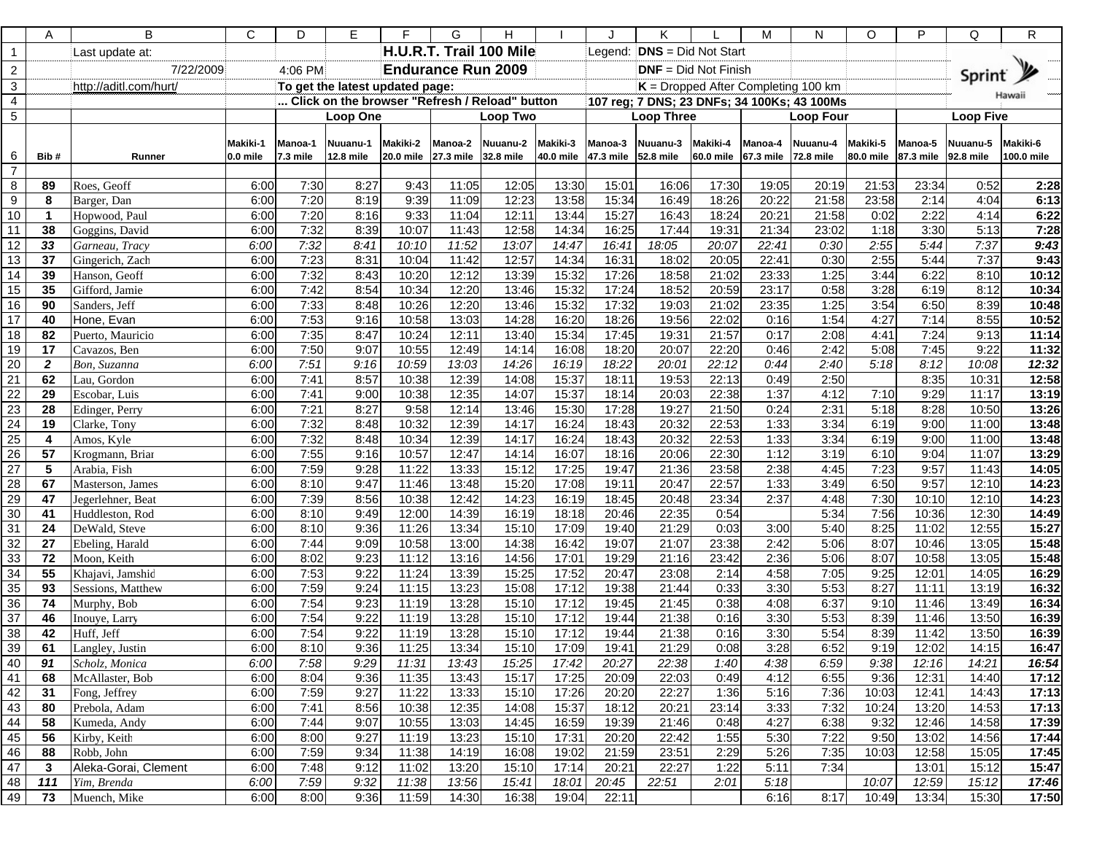|                       | Α              | B                          | С                    | D                                              | Е                       | F                     | G                         | н                     |                       |                                       | Κ                     |                       | м                                           | N                     | O                               | P                | Q                     | R                      |
|-----------------------|----------------|----------------------------|----------------------|------------------------------------------------|-------------------------|-----------------------|---------------------------|-----------------------|-----------------------|---------------------------------------|-----------------------|-----------------------|---------------------------------------------|-----------------------|---------------------------------|------------------|-----------------------|------------------------|
| $\mathbf{1}$          |                | Last update at:            |                      |                                                | H.U.R.T. Trail 100 Mile |                       |                           |                       |                       | <b>DNS</b> = Did Not Start<br>Legend: |                       |                       |                                             |                       |                                 |                  |                       |                        |
| $\mathbf{2}$          |                | 7/22/2009                  |                      | 4:06 PM                                        |                         |                       | <b>Endurance Run 2009</b> |                       |                       | $DNF = Did Not Finish$                |                       |                       |                                             |                       |                                 | Sprint y         |                       |                        |
| $\mathbf{3}$          |                | http://aditl.com/hurt/     |                      | To get the latest updated page:                |                         |                       |                           |                       |                       | $K =$ Dropped After Completing 100 km |                       |                       |                                             |                       |                                 |                  |                       |                        |
| $\overline{4}$        |                |                            |                      | Click on the browser "Refresh / Reload" button |                         |                       |                           |                       |                       |                                       |                       |                       | 107 reg; 7 DNS; 23 DNFs; 34 100Ks; 43 100Ms |                       |                                 | Hawaii           |                       |                        |
| 5                     |                |                            |                      | <b>Loop One</b>                                |                         |                       | Loop Two                  |                       |                       |                                       | <b>Loop Three</b>     |                       |                                             | <b>Loop Four</b>      |                                 | <b>Loop Five</b> |                       |                        |
| 6                     | Bib#           | Runner                     | Makiki-1<br>0.0 mile | Manoa-1<br>7.3 mile                            | Nuuanu-1<br>12.8 mile   | Makiki-2<br>20.0 mile | Manoa-2<br>27.3 mile      | Nuuanu-2<br>32.8 mile | Makiki-3<br>40.0 mile | Manoa-3<br>47.3 mile                  | Nuuanu-3<br>52.8 mile | Makiki-4<br>60.0 mile | Manoa-4<br>67.3 mile                        | Nuuanu-4<br>72.8 mile | Makiki-5<br>80.0 mile 87.3 mile | Manoa-5          | Nuuanu-5<br>92.8 mile | Makiki-6<br>100.0 mile |
| $\overline{7}$        |                |                            |                      |                                                |                         |                       |                           |                       |                       |                                       |                       |                       |                                             |                       |                                 |                  |                       |                        |
| 8                     | 89             | Roes, Geoff                | 6:00                 | 7:30                                           | 8:27                    | 9:43                  | 11:05                     | 12:05                 | 13:30                 | 15:01                                 | 16:06                 | 17:30                 | 19:05                                       | 20:19                 | 21:53                           | 23:34            | 0:52                  | 2:28                   |
| 9                     | 8              | Barger, Dan                | 6:00                 | 7:20                                           | 8:19                    | 9:39                  | 11:09                     | 12:23                 | 13:58                 | 15:34                                 | 16:49                 | 18:26                 | 20:22                                       | 21:58                 | 23:58                           | 2:14             | 4:04                  | 6:13                   |
| 10                    | $\mathbf{1}$   | Hopwood, Paul              | 6:00                 | 7:20                                           | 8:16                    | 9:33                  | 11:04                     | 12:11                 | 13:44                 | 15:27                                 | 16:43                 | 18:24                 | 20:21                                       | 21:58                 | 0:02                            | 2:22             | 4:14                  | 6:22                   |
| 11                    | 38             | Goggins, David             | 6:00                 | 7:32                                           | 8:39                    | 10:07                 | 11:43                     | 12:58                 | 14:34                 | 16:25                                 | 17:44                 | 19:31                 | 21:34                                       | 23:02                 | 1:18                            | 3:30             | 5:13                  | 7:28                   |
| 12                    | 33             | Garneau, Tracy             | 6:00                 | 7:32                                           | 8:41                    | 10:10                 | 11:52                     | 13:07                 | 14:47                 | 16:41                                 | 18:05                 | 20:07                 | 22:41                                       | 0:30                  | 2:55                            | 5:44             | 7:37                  | 9:43                   |
| 13                    | 37             | Gingerich, Zach            | 6:00                 | 7:23                                           | 8:31                    | 10:04                 | 11:42                     | 12:57                 | 14:34                 | 16:31                                 | 18:02                 | 20:05                 | 22:41                                       | 0:30                  | 2:55                            | 5:44             | 7:37                  | 9:43                   |
| 14                    | 39             | Hanson, Geoff              | 6:00                 | 7:32                                           | 8:43                    | 10:20                 | 12:12                     | 13:39                 | 15:32                 | 17:26                                 | 18:58                 | 21:02                 | 23:33                                       | 1:25                  | 3:44                            | 6:22             | 8:10                  | 10:12                  |
| 15                    | 35             | Gifford, Jamie             | 6:00                 | 7:42                                           | 8:54                    | 10:34                 | 12:20                     | 13:46                 | 15:32                 | 17:24                                 | 18:52                 | 20:59                 | 23:17                                       | 0:58                  | 3:28                            | 6:19             | 8:12                  | 10:34                  |
| 16                    | 90             | Sanders, Jeff              | 6:00                 | 7:33                                           | 8:48                    | 10:26                 | 12:20                     | 13:46                 | 15:32                 | 17:32                                 | 19:03                 | 21:02                 | 23:35                                       | 1:25                  | 3:54                            | 6:50             | 8:39                  | 10:48                  |
| 17                    | 40             | Hone, Evan                 | 6:00                 | 7:53                                           | 9:16                    | 10:58                 | 13:03                     | 14:28                 | 16:20                 | 18:26                                 | 19:56                 | 22:02                 | 0:16                                        | 1:54                  | 4:27                            | 7:14             | 8:55                  | 10:52                  |
| 18                    | 82             | Puerto, Mauricio           | 6:00                 | 7:35                                           | 8:47                    | 10:24                 | 12:11                     | 13:40                 | 15:34                 | 17:45                                 | 19:31                 | 21:57                 | 0:17                                        | 2:08                  | 4:41                            | 7:24             | 9:13                  | 11:14                  |
| 19                    | 17             | Cavazos, Ben               | 6:00                 | 7:50                                           | 9:07                    | 10:55                 | 12:49                     | 14:14                 | 16:08                 | 18:20                                 | 20:07                 | 22:20                 | 0:46                                        | 2:42                  | 5:08                            | 7:45             | 9:22                  | 11:32                  |
| $\overline{20}$       | $\overline{2}$ | Bon, Suzanna               | 6:00                 | 7:51                                           | 9:16                    | 10:59                 | 13:03                     | 14:26                 | 16:19                 | 18:22                                 | 20:01                 | 22:12                 | 0:44                                        | 2:40                  | 5:18                            | 8:12             | 10:08                 | 12:32                  |
| 21                    | 62             | Lau, Gordon                | 6:00                 | 7:41                                           | 8:57<br>9:00            | 10:38                 | 12:39                     | 14:08                 | 15:37                 | 18:11                                 | 19:53                 | 22:13                 | 0:49                                        | 2:50                  |                                 | 8:35<br>9:29     | 10:31<br>11:17        | 12:58<br>13:19         |
| 22                    | 29             | Escobar, Luis              | 6:00                 | 7:41<br>7:21                                   | 8:27                    | 10:38<br>9:58         | 12:35<br>12:14            | 14:07                 | 15:37<br>15:30        | 18:14<br>17:28                        | 20:03<br>19:27        | 22:38<br>21:50        | 1:37<br>0:24                                | 4:12<br>2:31          | 7:10<br>5:18                    |                  |                       | 13:26                  |
| 23<br>$\overline{24}$ | 28<br>19       | Edinger, Perry             | 6:00<br>6:00         | 7:32                                           | 8:48                    | 10:32                 | 12:39                     | 13:46<br>14:17        | 16:24                 | 18:43                                 | 20:32                 | 22:53                 | 1:33                                        | 3:34                  | 6:19                            | 8:28<br>9:00     | 10:50<br>11:00        | 13:48                  |
| $\overline{25}$       | 4              | Clarke, Tony<br>Amos, Kyle | 6:00                 | 7:32                                           | 8:48                    | 10:34                 | 12:39                     | 14:17                 | 16:24                 | 18:43                                 | 20:32                 | 22:53                 | 1:33                                        | 3:34                  | 6:19                            | 9:00             | 11:00                 | 13:48                  |
| 26                    | 57             | Krogmann, Briar            | 6:00                 | 7:55                                           | 9:16                    | 10:57                 | 12:47                     | 14:14                 | 16:07                 | 18:16                                 | 20:06                 | 22:30                 | 1:12                                        | 3:19                  | 6:10                            | 9:04             | 11:07                 | 13:29                  |
| $\overline{27}$       | 5              | Arabia, Fish               | 6:00                 | 7:59                                           | 9:28                    | 11:22                 | 13:33                     | 15:12                 | 17:25                 | 19:47                                 | 21:36                 | 23:58                 | 2:38                                        | 4:45                  | 7:23                            | 9:57             | 11:43                 | 14:05                  |
| 28                    | 67             | Masterson, James           | 6:00                 | 8:10                                           | 9:47                    | 11:46                 | 13:48                     | 15:20                 | 17:08                 | 19:11                                 | 20:47                 | 22:57                 | 1:33                                        | 3:49                  | 6:50                            | 9:57             | 12:10                 | 14:23                  |
| 29                    | 47             | Jegerlehner, Beat          | 6:00                 | 7:39                                           | 8:56                    | 10:38                 | 12:42                     | 14:23                 | 16:19                 | 18:45                                 | 20:48                 | 23:34                 | 2:37                                        | 4:48                  | 7:30                            | 10:10            | 12:10                 | 14:23                  |
| 30                    | 41             | Huddleston, Rod            | 6:00                 | 8:10                                           | 9:49                    | 12:00                 | 14:39                     | 16:19                 | 18:18                 | 20:46                                 | 22:35                 | 0:54                  |                                             | 5:34                  | 7:56                            | 10:36            | 12:30                 | 14:49                  |
| 31                    | 24             | DeWald, Steve              | 6:00                 | 8:10                                           | 9:36                    | 11:26                 | 13:34                     | 15:10                 | 17:09                 | 19:40                                 | 21:29                 | 0:03                  | 3:00                                        | 5:40                  | 8:25                            | 11:02            | 12:55                 | 15:27                  |
| 32                    | 27             | Ebeling, Harald            | 6:00                 | 7:44                                           | 9:09                    | 10:58                 | 13:00                     | 14:38                 | 16:42                 | 19:07                                 | 21:07                 | 23:38                 | 2:42                                        | 5:06                  | 8:07                            | 10:46            | 13:05                 | 15:48                  |
| 33                    | 72             | Moon, Keith                | 6:00                 | 8:02                                           | 9:23                    | 11:12                 | 13:16                     | 14:56                 | 17:01                 | 19:29                                 | 21:16                 | 23:42                 | 2:36                                        | 5:06                  | 8:07                            | 10:58            | 13:05                 | 15:48                  |
| 34                    | 55             | Khajavi, Jamshid           | 6:00                 | 7:53                                           | 9:22                    | 11:24                 | 13:39                     | 15:25                 | 17:52                 | 20:47                                 | 23:08                 | 2:14                  | 4:58                                        | 7:05                  | 9:25                            | 12:01            | 14:05                 | 16:29                  |
| 35                    | 93             | Sessions, Matthew          | 6:00                 | 7:59                                           | 9:24                    | 11:15                 | 13:23                     | 15:08                 | 17:12                 | 19:38                                 | 21:44                 | 0:33                  | 3:30                                        | 5:53                  | 8:27                            | 11:11            | 13:19                 | 16:32                  |
| 36                    | 74             | Murphy, Bob                | 6:00                 | 7:54                                           | 9:23                    | 11:19                 | 13:28                     | 15:10                 | 17:12                 | 19:45                                 | 21:45                 | 0:38                  | 4:08                                        | 6:37                  | 9:10                            | 11:46            | 13:49                 | 16:34                  |
| $\overline{37}$       | 46             | Inouye, Larry              | 6:00                 | 7:54                                           | 9:22                    | 11:19                 | 13:28                     | 15:10                 | 17:12                 | 19:44                                 | 21:38                 | 0:16                  | 3:30                                        | 5:53                  | 8:39                            | 11:46            | 13:50                 | 16:39                  |
| 38                    | 42             | Huff, Jeff                 | 6:00                 | 7:54                                           | 9:22                    | 11:19                 | 13:28                     | 15:10                 | 17:12                 | 19:44                                 | 21:38                 | 0:16                  | 3:30                                        | 5:54                  | 8:39                            | 11:42            | 13:50                 | 16:39                  |
| 39                    | 61             | Langley, Justin            | 6:00                 | 8:10                                           | 9:36                    | 11:25                 | 13:34                     | 15:10                 | 17:09                 | 19:41                                 | 21:29                 | 0:08                  | 3:28                                        | 6:52                  | 9:19                            | 12:02            | 14:15                 | 16:47                  |
| 40                    | 91             | Scholz, Monica             | 6:00                 | 7:58                                           | 9:29                    | 11:31                 | 13:43                     | 15:25                 | 17:42                 | 20:27                                 | 22:38                 | 1:40                  | 4:38                                        | 6:59                  | 9:38                            | 12:16            | 14:21                 | 16:54                  |
| 41                    | 68             | McAllaster, Bob            | 6:00                 | 8:04                                           | 9:36                    | 11:35                 | 13:43                     | 15:17                 | 17:25                 | 20:09                                 | 22:03                 | 0:49                  | 4:12                                        | 6:55                  | 9:36                            | 12:31            | 14:40                 | 17:12                  |
| 42                    | 31             | Fong, Jeffrey              | 6:00                 | 7:59                                           | 9:27                    | 11:22                 | 13:33                     | 15:10                 | 17:26                 | 20:20                                 | 22:27                 | 1:36                  | 5:16                                        | 7:36                  | 10:03                           | 12:41            | 14:43                 | 17:13                  |
| 43                    | 80             | Prebola, Adam              | 6:00                 | 7:41                                           | 8:56                    | 10:38                 | 12:35                     | 14:08                 | 15:37                 | 18:12                                 | 20:21                 | 23:14                 | 3:33                                        | 7:32                  | 10:24                           | 13:20            | 14:53                 | 17:13                  |
| 44                    | 58             | Kumeda, Andy               | 6:00                 | 7:44                                           | 9:07                    | 10:55                 | 13:03                     | 14:45                 | 16:59                 | 19:39                                 | 21:46                 | 0:48                  | 4:27                                        | 6:38                  | 9:32                            | 12:46            | 14:58                 | 17:39                  |
| 45                    | 56             | Kirby, Keith               | 6:00                 | 8:00                                           | 9:27                    | 11:19                 | 13:23                     | 15:10                 | 17:31                 | 20:20                                 | 22:42                 | 1:55                  | 5:30                                        | 7:22                  | 9:50                            | 13:02            | 14:56                 | 17:44                  |
| 46                    | 88             | Robb, John                 | 6:00                 | 7:59                                           | 9:34                    | 11:38                 | 14:19                     | 16:08                 | 19:02                 | 21:59                                 | 23:51                 | 2:29                  | 5:26                                        | 7:35                  | 10:03                           | 12:58            | 15:05                 | 17:45                  |
| 47                    | $\mathbf{3}$   | Aleka-Gorai, Clement       | 6:00                 | 7:48                                           | 9:12                    | 11:02                 | 13:20                     | 15:10                 | 17:14                 | 20:21                                 | 22:27                 | 1:22                  | 5:11                                        | 7:34                  |                                 | 13:01            | 15:12                 | 15:47                  |
| 48                    | 111            | Yim, Brenda                | 6:00                 | 7:59                                           | 9:32                    | 11:38                 | 13:56                     | 15:41                 | 18:01                 | 20:45                                 | 22:51                 | 2:01                  | 5:18                                        |                       | 10:07                           | 12:59            | 15:12                 | 17:46                  |
| 49                    | 73             | Muench, Mike               | 6:00                 | 8:00                                           | 9:36                    | 11:59                 | 14:30                     | 16:38                 | 19:04                 | 22:11                                 |                       |                       | 6:16                                        | 8:17                  | 10:49                           | 13:34            | 15:30                 | 17:50                  |